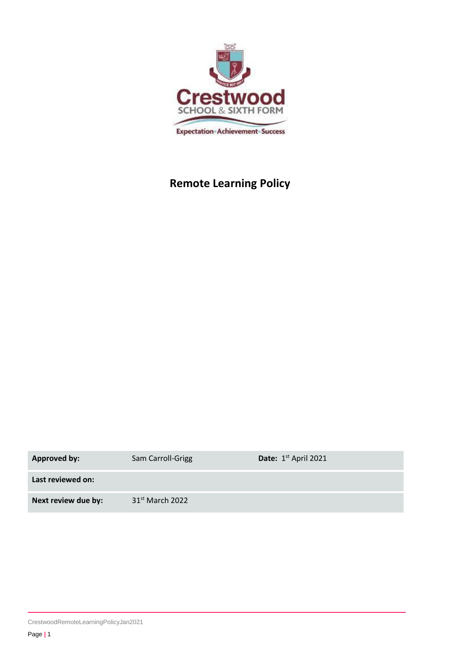

# **Remote Learning Policy**

| <b>Approved by:</b> | Sam Carroll-Grigg           | Date: 1 <sup>st</sup> April 2021 |
|---------------------|-----------------------------|----------------------------------|
| Last reviewed on:   |                             |                                  |
| Next review due by: | 31 <sup>st</sup> March 2022 |                                  |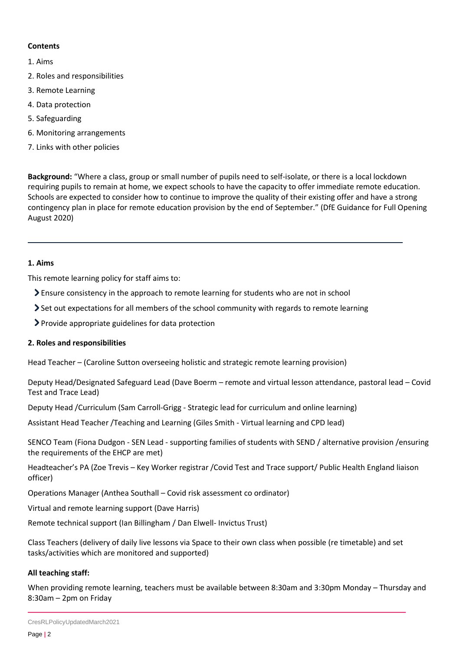# **Contents**

- [1. Aims](#page-1-0)
- [2. Roles and responsibilities](#page-1-1)
- 3. Remote Learning
- 4. Data protection
- 5. Safeguarding
- [6. Monitoring arrangements](#page-6-0)
- [7. Links with other policies](#page-6-1)

**Background:** "Where a class, group or small number of pupils need to self-isolate, or there is a local lockdown requiring pupils to remain at home, we expect schools to have the capacity to offer immediate remote education. Schools are expected to consider how to continue to improve the quality of their existing offer and have a strong contingency plan in place for remote education provision by the end of September." (DfE Guidance for Full Opening August 2020)

# <span id="page-1-0"></span>**1. Aims**

This remote learning policy for staff aims to:

- Ensure consistency in the approach to remote learning for students who are not in school
- Set out expectations for all members of the school community with regards to remote learning
- Provide appropriate guidelines for data protection

# <span id="page-1-1"></span>**2. Roles and responsibilities**

Head Teacher – (Caroline Sutton overseeing holistic and strategic remote learning provision)

Deputy Head/Designated Safeguard Lead (Dave Boerm – remote and virtual lesson attendance, pastoral lead – Covid Test and Trace Lead)

Deputy Head /Curriculum (Sam Carroll-Grigg - Strategic lead for curriculum and online learning)

Assistant Head Teacher /Teaching and Learning (Giles Smith - Virtual learning and CPD lead)

SENCO Team (Fiona Dudgon - SEN Lead - supporting families of students with SEND / alternative provision /ensuring the requirements of the EHCP are met)

Headteacher's PA (Zoe Trevis – Key Worker registrar /Covid Test and Trace support/ Public Health England liaison officer)

Operations Manager (Anthea Southall – Covid risk assessment co ordinator)

Virtual and remote learning support (Dave Harris)

Remote technical support (Ian Billingham / Dan Elwell- Invictus Trust)

Class Teachers (delivery of daily live lessons via Space to their own class when possible (re timetable) and set tasks/activities which are monitored and supported)

# **All teaching staff:**

When providing remote learning, teachers must be available between 8:30am and 3:30pm Monday – Thursday and 8:30am – 2pm on Friday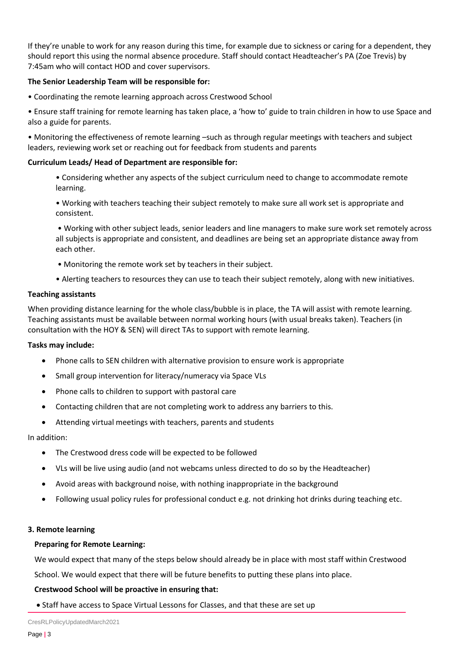If they're unable to work for any reason during this time, for example due to sickness or caring for a dependent, they should report this using the normal absence procedure. Staff should contact Headteacher's PA (Zoe Trevis) by 7:45am who will contact HOD and cover supervisors.

## **The Senior Leadership Team will be responsible for:**

- Coordinating the remote learning approach across Crestwood School
- Ensure staff training for remote learning has taken place, a 'how to' guide to train children in how to use Space and also a guide for parents.

• Monitoring the effectiveness of remote learning –such as through regular meetings with teachers and subject leaders, reviewing work set or reaching out for feedback from students and parents

## **Curriculum Leads/ Head of Department are responsible for:**

- Considering whether any aspects of the subject curriculum need to change to accommodate remote learning.
- Working with teachers teaching their subject remotely to make sure all work set is appropriate and consistent.
- Working with other subject leads, senior leaders and line managers to make sure work set remotely across all subjects is appropriate and consistent, and deadlines are being set an appropriate distance away from each other.
- Monitoring the remote work set by teachers in their subject.
- Alerting teachers to resources they can use to teach their subject remotely, along with new initiatives.

## **Teaching assistants**

When providing distance learning for the whole class/bubble is in place, the TA will assist with remote learning. Teaching assistants must be available between normal working hours (with usual breaks taken). Teachers (in consultation with the HOY & SEN) will direct TAs to support with remote learning.

## **Tasks may include:**

- Phone calls to SEN children with alternative provision to ensure work is appropriate
- Small group intervention for literacy/numeracy via Space VLs
- Phone calls to children to support with pastoral care
- Contacting children that are not completing work to address any barriers to this.
- Attending virtual meetings with teachers, parents and students

In addition:

- The Crestwood dress code will be expected to be followed
- VLs will be live using audio (and not webcams unless directed to do so by the Headteacher)
- Avoid areas with background noise, with nothing inappropriate in the background
- Following usual policy rules for professional conduct e.g. not drinking hot drinks during teaching etc.

## **3. Remote learning**

## **Preparing for Remote Learning:**

We would expect that many of the steps below should already be in place with most staff within Crestwood School. We would expect that there will be future benefits to putting these plans into place.

# **Crestwood School will be proactive in ensuring that:**

• Staff have access to Space Virtual Lessons for Classes, and that these are set up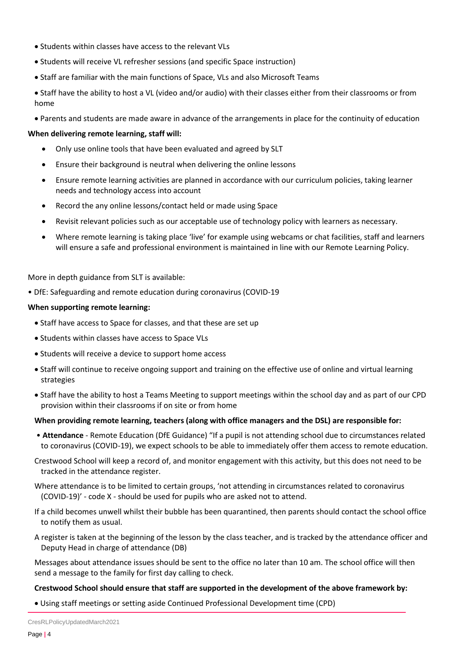- Students within classes have access to the relevant VLs
- Students will receive VL refresher sessions (and specific Space instruction)
- Staff are familiar with the main functions of Space, VLs and also Microsoft Teams
- Staff have the ability to host a VL (video and/or audio) with their classes either from their classrooms or from home
- Parents and students are made aware in advance of the arrangements in place for the continuity of education

## **When delivering remote learning, staff will:**

- Only use online tools that have been evaluated and agreed by SLT
- Ensure their background is neutral when delivering the online lessons
- Ensure remote learning activities are planned in accordance with our curriculum policies, taking learner needs and technology access into account
- Record the any online lessons/contact held or made using Space
- Revisit relevant policies such as our acceptable use of technology policy with learners as necessary.
- Where remote learning is taking place 'live' for example using webcams or chat facilities, staff and learners will ensure a safe and professional environment is maintained in line with our Remote Learning Policy.

More in depth guidance from SLT is available:

• DfE: Safeguarding and remote education during coronavirus (COVID-19

## **When supporting remote learning:**

- Staff have access to Space for classes, and that these are set up
- Students within classes have access to Space VLs
- Students will receive a device to support home access
- Staff will continue to receive ongoing support and training on the effective use of online and virtual learning strategies
- Staff have the ability to host a Teams Meeting to support meetings within the school day and as part of our CPD provision within their classrooms if on site or from home

## **When providing remote learning, teachers (along with office managers and the DSL) are responsible for:**

- **Attendance** Remote Education (DfE Guidance) "If a pupil is not attending school due to circumstances related to coronavirus (COVID-19), we expect schools to be able to immediately offer them access to remote education.
- Crestwood School will keep a record of, and monitor engagement with this activity, but this does not need to be tracked in the attendance register.
- Where attendance is to be limited to certain groups, 'not attending in circumstances related to coronavirus (COVID-19)' - code X - should be used for pupils who are asked not to attend.
- If a child becomes unwell whilst their bubble has been quarantined, then parents should contact the school office to notify them as usual.
- A register is taken at the beginning of the lesson by the class teacher, and is tracked by the attendance officer and Deputy Head in charge of attendance (DB)

Messages about attendance issues should be sent to the office no later than 10 am. The school office will then send a message to the family for first day calling to check.

## **Crestwood School should ensure that staff are supported in the development of the above framework by:**

• Using staff meetings or setting aside Continued Professional Development time (CPD)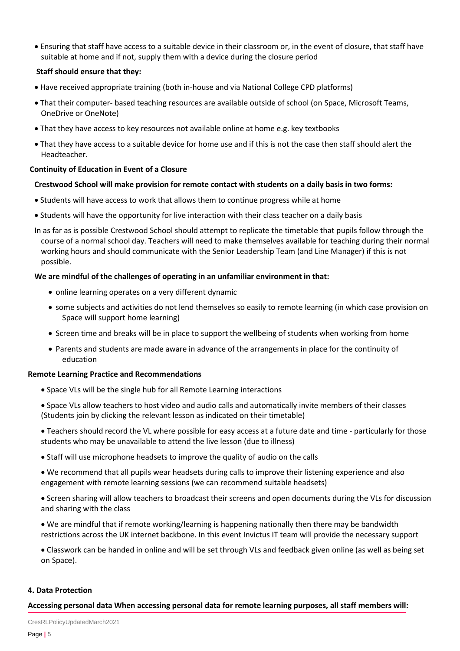• Ensuring that staff have access to a suitable device in their classroom or, in the event of closure, that staff have suitable at home and if not, supply them with a device during the closure period

## **Staff should ensure that they:**

- Have received appropriate training (both in-house and via National College CPD platforms)
- That their computer- based teaching resources are available outside of school (on Space, Microsoft Teams, OneDrive or OneNote)
- That they have access to key resources not available online at home e.g. key textbooks
- That they have access to a suitable device for home use and if this is not the case then staff should alert the Headteacher.

## **Continuity of Education in Event of a Closure**

## **Crestwood School will make provision for remote contact with students on a daily basis in two forms:**

- Students will have access to work that allows them to continue progress while at home
- Students will have the opportunity for live interaction with their class teacher on a daily basis
- In as far as is possible Crestwood School should attempt to replicate the timetable that pupils follow through the course of a normal school day. Teachers will need to make themselves available for teaching during their normal working hours and should communicate with the Senior Leadership Team (and Line Manager) if this is not possible.

## **We are mindful of the challenges of operating in an unfamiliar environment in that:**

- online learning operates on a very different dynamic
- some subjects and activities do not lend themselves so easily to remote learning (in which case provision on Space will support home learning)
- Screen time and breaks will be in place to support the wellbeing of students when working from home
- Parents and students are made aware in advance of the arrangements in place for the continuity of education

## **Remote Learning Practice and Recommendations**

- Space VLs will be the single hub for all Remote Learning interactions
- Space VLs allow teachers to host video and audio calls and automatically invite members of their classes (Students join by clicking the relevant lesson as indicated on their timetable)

• Teachers should record the VL where possible for easy access at a future date and time - particularly for those students who may be unavailable to attend the live lesson (due to illness)

- Staff will use microphone headsets to improve the quality of audio on the calls
- We recommend that all pupils wear headsets during calls to improve their listening experience and also engagement with remote learning sessions (we can recommend suitable headsets)
- Screen sharing will allow teachers to broadcast their screens and open documents during the VLs for discussion and sharing with the class
- We are mindful that if remote working/learning is happening nationally then there may be bandwidth restrictions across the UK internet backbone. In this event Invictus IT team will provide the necessary support
- Classwork can be handed in online and will be set through VLs and feedback given online (as well as being set on Space).

## **4. Data Protection**

## **Accessing personal data When accessing personal data for remote learning purposes, all staff members will:**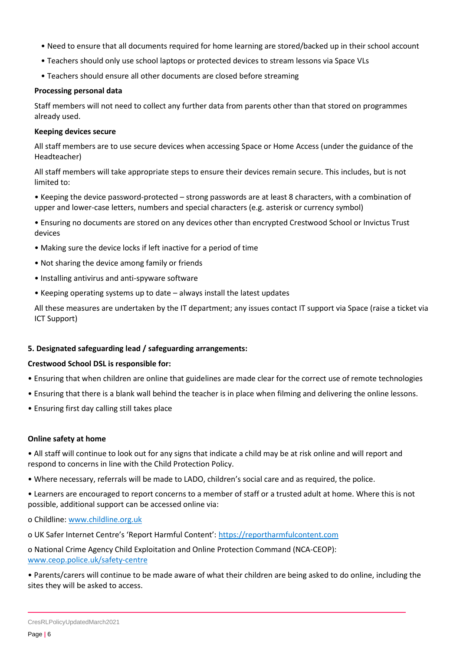- Need to ensure that all documents required for home learning are stored/backed up in their school account
- Teachers should only use school laptops or protected devices to stream lessons via Space VLs
- Teachers should ensure all other documents are closed before streaming

#### **Processing personal data**

Staff members will not need to collect any further data from parents other than that stored on programmes already used.

## **Keeping devices secure**

All staff members are to use secure devices when accessing Space or Home Access (under the guidance of the Headteacher)

All staff members will take appropriate steps to ensure their devices remain secure. This includes, but is not limited to:

• Keeping the device password-protected – strong passwords are at least 8 characters, with a combination of upper and lower-case letters, numbers and special characters (e.g. asterisk or currency symbol)

• Ensuring no documents are stored on any devices other than encrypted Crestwood School or Invictus Trust devices

- Making sure the device locks if left inactive for a period of time
- Not sharing the device among family or friends
- Installing antivirus and anti-spyware software
- Keeping operating systems up to date always install the latest updates

All these measures are undertaken by the IT department; any issues contact IT support via Space (raise a ticket via ICT Support)

## **5. Designated safeguarding lead / safeguarding arrangements:**

## **Crestwood School DSL is responsible for:**

- Ensuring that when children are online that guidelines are made clear for the correct use of remote technologies
- Ensuring that there is a blank wall behind the teacher is in place when filming and delivering the online lessons.
- Ensuring first day calling still takes place

## **Online safety at home**

• All staff will continue to look out for any signs that indicate a child may be at risk online and will report and respond to concerns in line with the Child Protection Policy.

• Where necessary, referrals will be made to LADO, children's social care and as required, the police.

• Learners are encouraged to report concerns to a member of staff or a trusted adult at home. Where this is not possible, additional support can be accessed online via:

ο Childline[: www.childline.org.uk](http://www.childline.org.uk/)

ο UK Safer Internet Centre's 'Report Harmful Content': [https://reportharmfulcontent.com](https://reportharmfulcontent.com/)

ο National Crime Agency Child Exploitation and Online Protection Command (NCA-CEOP): [www.ceop.police.uk/safety-centre](http://www.ceop.police.uk/safety-centre)

• Parents/carers will continue to be made aware of what their children are being asked to do online, including the sites they will be asked to access.